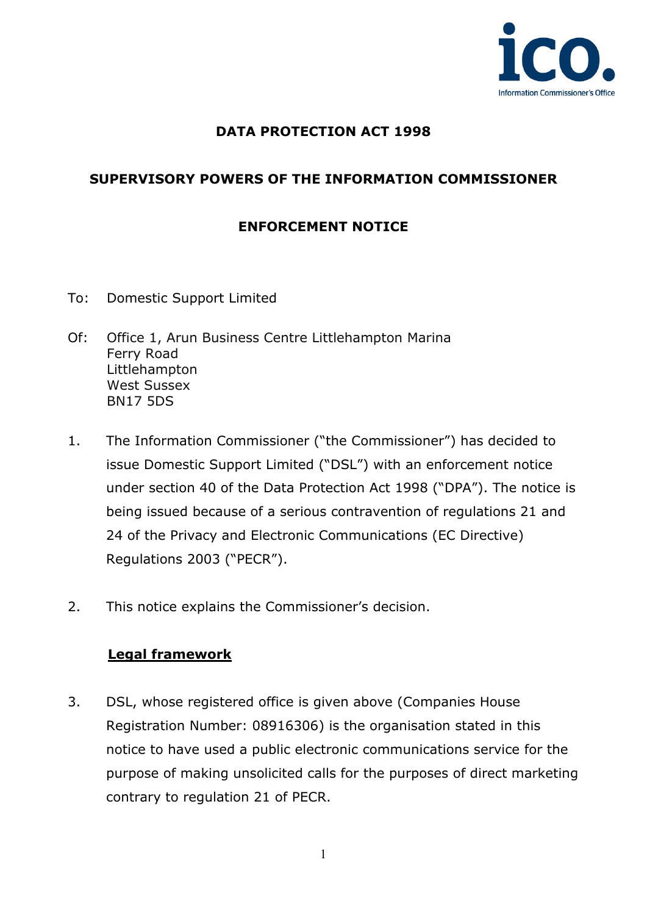

## **DATA PROTECTION ACT 1998**

## **SUPERVISORY POWERS OF THE INFORMATION COMMISSIONER**

## **ENFORCEMENT NOTICE**

- To: Domestic Support Limited
- Of: Office 1, Arun Business Centre Littlehampton Marina Ferry Road Littlehampton West Sussex BN17 5DS
- 1. The Information Commissioner ("the Commissioner") has decided to issue Domestic Support Limited ("DSL") with an enforcement notice under section 40 of the Data Protection Act 1998 ("DPA"). The notice is being issued because of a serious contravention of regulations 21 and 24 of the Privacy and Electronic Communications (EC Directive) Regulations 2003 ("PECR").
- 2. This notice explains the Commissioner's decision.

#### **Legal framework**

3. DSL, whose registered office is given above (Companies House Registration Number: 08916306) is the organisation stated in this notice to have used a public electronic communications service for the purpose of making unsolicited calls for the purposes of direct marketing contrary to regulation 21 of PECR.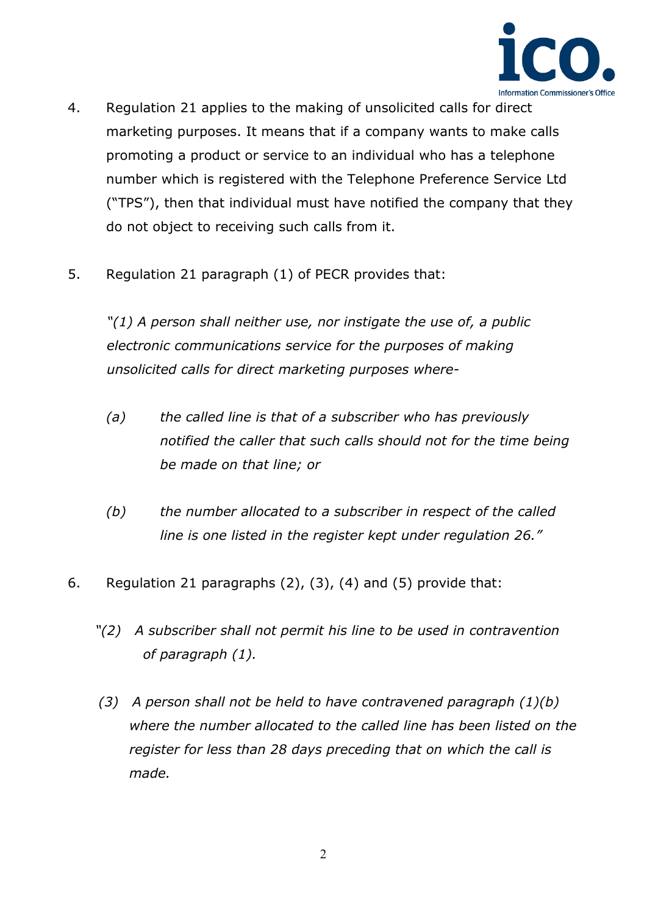

- 4. Regulation 21 applies to the making of unsolicited calls for direct marketing purposes. It means that if a company wants to make calls promoting a product or service to an individual who has a telephone number which is registered with the Telephone Preference Service Ltd ("TPS"), then that individual must have notified the company that they do not object to receiving such calls from it.
- 5. Regulation 21 paragraph (1) of PECR provides that:

*"(1) A person shall neither use, nor instigate the use of, a public electronic communications service for the purposes of making unsolicited calls for direct marketing purposes where-*

- *(a) the called line is that of a subscriber who has previously notified the caller that such calls should not for the time being be made on that line; or*
- *(b) the number allocated to a subscriber in respect of the called line is one listed in the register kept under regulation 26."*
- 6. Regulation 21 paragraphs (2), (3), (4) and (5) provide that:
	- *"(2) A subscriber shall not permit his line to be used in contravention of paragraph (1).*
	- *(3) A person shall not be held to have contravened paragraph (1)(b) where the number allocated to the called line has been listed on the register for less than 28 days preceding that on which the call is made.*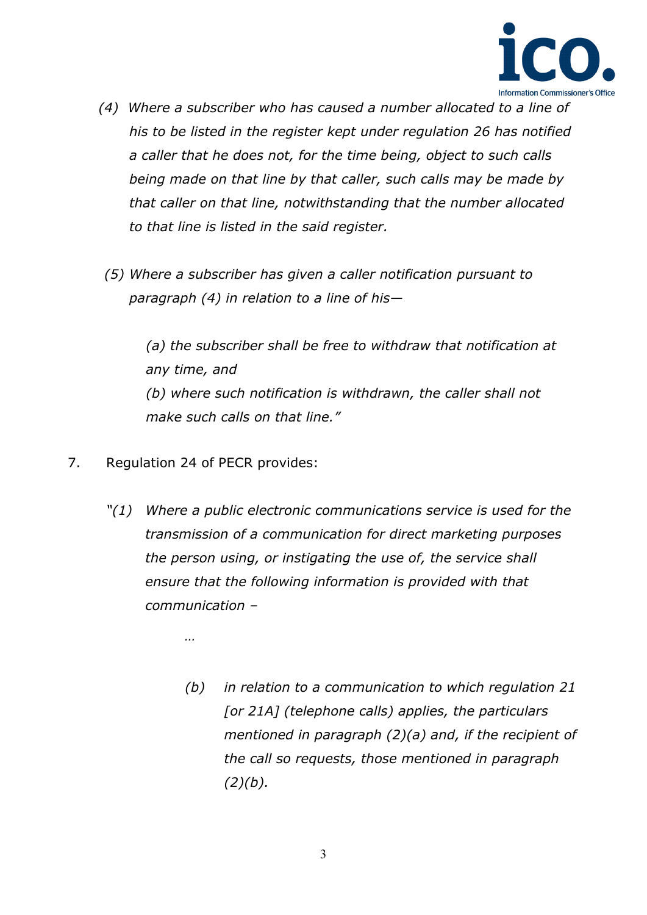

- *(4) Where a subscriber who has caused a number allocated to a line of his to be listed in the register kept under regulation 26 has notified a caller that he does not, for the time being, object to such calls being made on that line by that caller, such calls may be made by that caller on that line, notwithstanding that the number allocated to that line is listed in the said register.*
- *(5) Where a subscriber has given a caller notification pursuant to paragraph (4) in relation to a line of his—*

*(a) the subscriber shall be free to withdraw that notification at any time, and (b) where such notification is withdrawn, the caller shall not make such calls on that line."*

- 7. Regulation 24 of PECR provides:
	- *"(1) Where a public electronic communications service is used for the transmission of a communication for direct marketing purposes the person using, or instigating the use of, the service shall ensure that the following information is provided with that communication –*

*…* 

*(b) in relation to a communication to which regulation 21 [or 21A] (telephone calls) applies, the particulars mentioned in paragraph (2)(a) and, if the recipient of the call so requests, those mentioned in paragraph (2)(b).*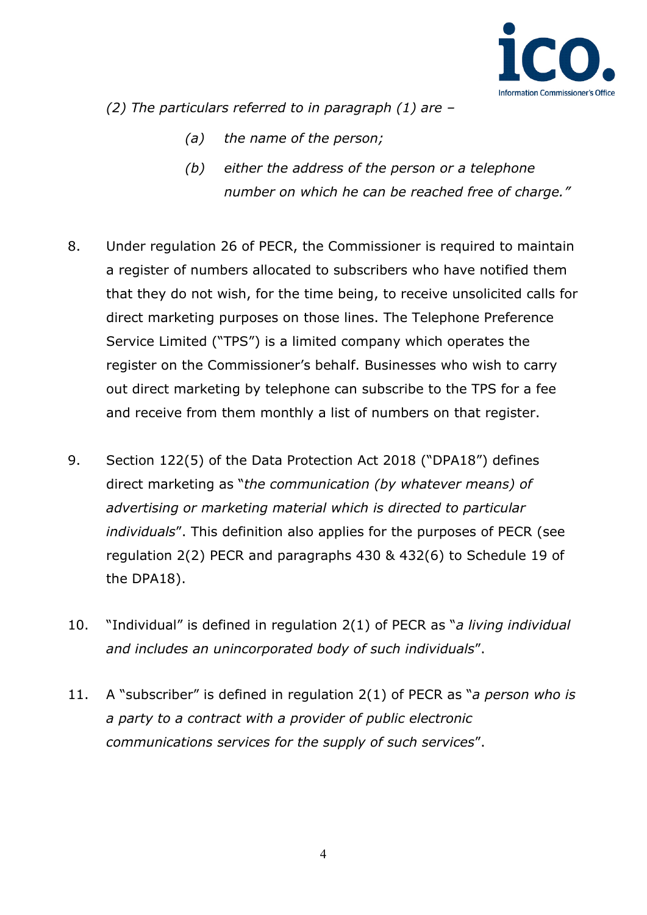

*(2) The particulars referred to in paragraph (1) are –*

- *(a) the name of the person;*
- *(b) either the address of the person or a telephone number on which he can be reached free of charge."*
- 8. Under regulation 26 of PECR, the Commissioner is required to maintain a register of numbers allocated to subscribers who have notified them that they do not wish, for the time being, to receive unsolicited calls for direct marketing purposes on those lines. The Telephone Preference Service Limited ("TPS") is a limited company which operates the register on the Commissioner's behalf. Businesses who wish to carry out direct marketing by telephone can subscribe to the TPS for a fee and receive from them monthly a list of numbers on that register.
- 9. Section 122(5) of the Data Protection Act 2018 ("DPA18") defines direct marketing as "*the communication (by whatever means) of advertising or marketing material which is directed to particular individuals*". This definition also applies for the purposes of PECR (see regulation 2(2) PECR and paragraphs 430 & 432(6) to Schedule 19 of the DPA18).
- 10. "Individual" is defined in regulation 2(1) of PECR as "*a living individual and includes an unincorporated body of such individuals*".
- 11. A "subscriber" is defined in regulation 2(1) of PECR as "*a person who is a party to a contract with a provider of public electronic communications services for the supply of such services*".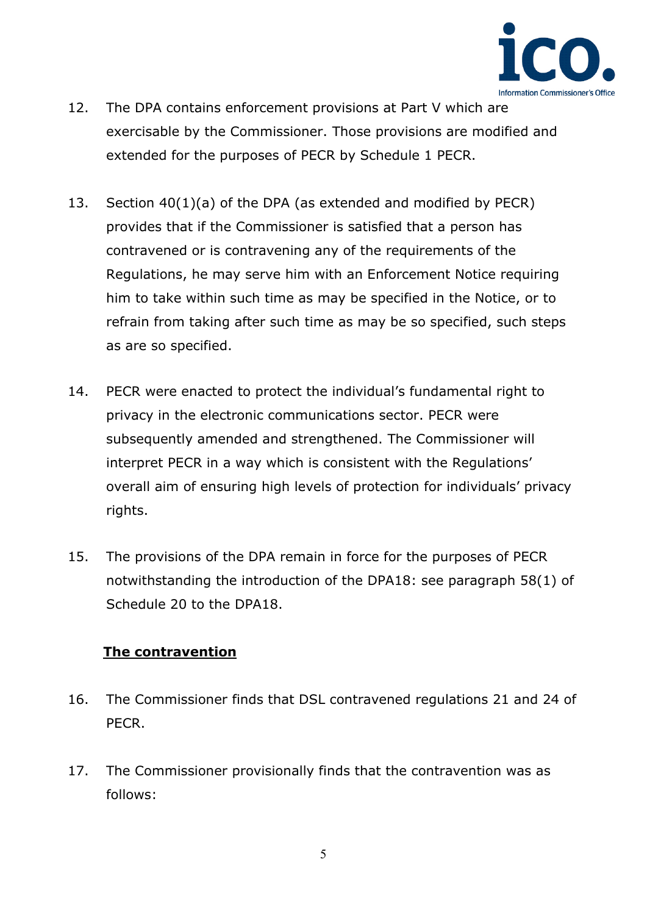

- 12. The DPA contains enforcement provisions at Part V which are exercisable by the Commissioner. Those provisions are modified and extended for the purposes of PECR by Schedule 1 PECR.
- 13. Section 40(1)(a) of the DPA (as extended and modified by PECR) provides that if the Commissioner is satisfied that a person has contravened or is contravening any of the requirements of the Regulations, he may serve him with an Enforcement Notice requiring him to take within such time as may be specified in the Notice, or to refrain from taking after such time as may be so specified, such steps as are so specified.
- 14. PECR were enacted to protect the individual's fundamental right to privacy in the electronic communications sector. PECR were subsequently amended and strengthened. The Commissioner will interpret PECR in a way which is consistent with the Regulations' overall aim of ensuring high levels of protection for individuals' privacy rights.
- 15. The provisions of the DPA remain in force for the purposes of PECR notwithstanding the introduction of the DPA18: see paragraph 58(1) of Schedule 20 to the DPA18.

### **The contravention**

- 16. The Commissioner finds that DSL contravened regulations 21 and 24 of PECR.
- 17. The Commissioner provisionally finds that the contravention was as follows: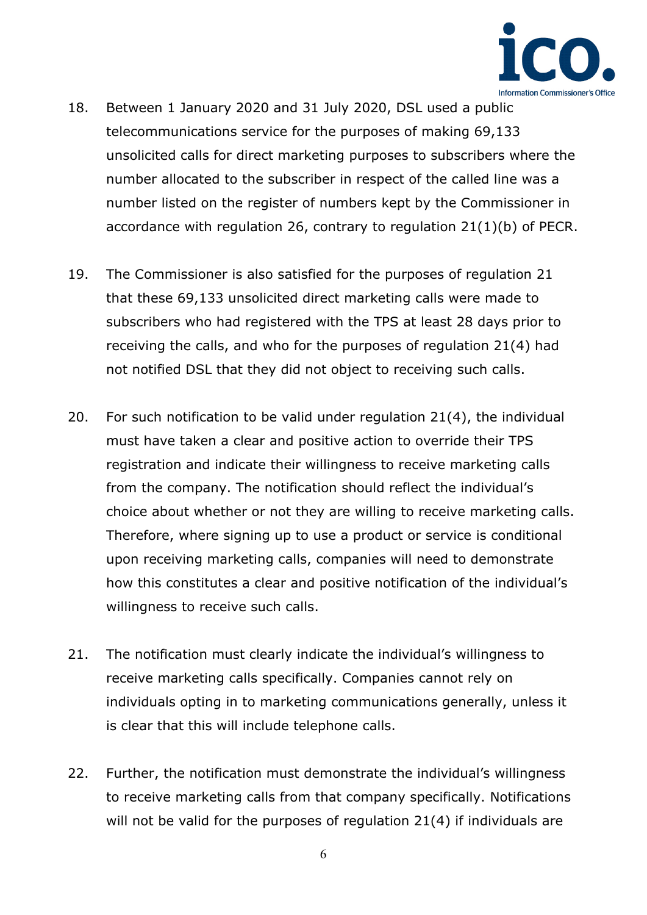

- 18. Between 1 January 2020 and 31 July 2020, DSL used a public telecommunications service for the purposes of making 69,133 unsolicited calls for direct marketing purposes to subscribers where the number allocated to the subscriber in respect of the called line was a number listed on the register of numbers kept by the Commissioner in accordance with regulation 26, contrary to regulation 21(1)(b) of PECR.
- 19. The Commissioner is also satisfied for the purposes of regulation 21 that these 69,133 unsolicited direct marketing calls were made to subscribers who had registered with the TPS at least 28 days prior to receiving the calls, and who for the purposes of regulation 21(4) had not notified DSL that they did not object to receiving such calls.
- 20. For such notification to be valid under regulation 21(4), the individual must have taken a clear and positive action to override their TPS registration and indicate their willingness to receive marketing calls from the company. The notification should reflect the individual's choice about whether or not they are willing to receive marketing calls. Therefore, where signing up to use a product or service is conditional upon receiving marketing calls, companies will need to demonstrate how this constitutes a clear and positive notification of the individual's willingness to receive such calls.
- 21. The notification must clearly indicate the individual's willingness to receive marketing calls specifically. Companies cannot rely on individuals opting in to marketing communications generally, unless it is clear that this will include telephone calls.
- 22. Further, the notification must demonstrate the individual's willingness to receive marketing calls from that company specifically. Notifications will not be valid for the purposes of regulation 21(4) if individuals are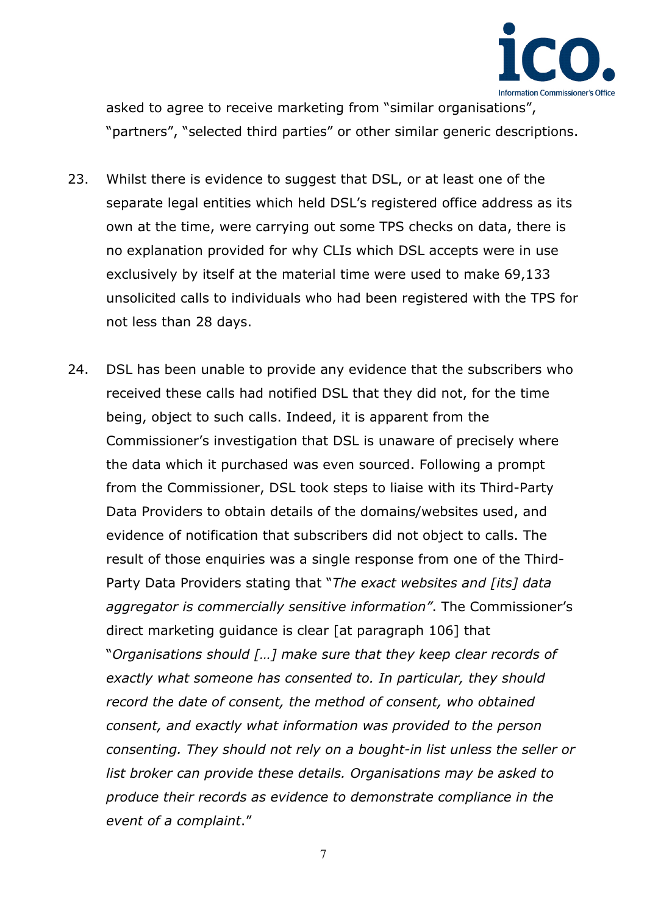

asked to agree to receive marketing from "similar organisations", "partners", "selected third parties" or other similar generic descriptions.

- 23. Whilst there is evidence to suggest that DSL, or at least one of the separate legal entities which held DSL's registered office address as its own at the time, were carrying out some TPS checks on data, there is no explanation provided for why CLIs which DSL accepts were in use exclusively by itself at the material time were used to make 69,133 unsolicited calls to individuals who had been registered with the TPS for not less than 28 days.
- 24. DSL has been unable to provide any evidence that the subscribers who received these calls had notified DSL that they did not, for the time being, object to such calls. Indeed, it is apparent from the Commissioner's investigation that DSL is unaware of precisely where the data which it purchased was even sourced. Following a prompt from the Commissioner, DSL took steps to liaise with its Third-Party Data Providers to obtain details of the domains/websites used, and evidence of notification that subscribers did not object to calls. The result of those enquiries was a single response from one of the Third-Party Data Providers stating that "*The exact websites and [its] data aggregator is commercially sensitive information"*. The Commissioner's direct marketing guidance is clear [at paragraph 106] that "*Organisations should […] make sure that they keep clear records of exactly what someone has consented to. In particular, they should record the date of consent, the method of consent, who obtained consent, and exactly what information was provided to the person consenting. They should not rely on a bought-in list unless the seller or list broker can provide these details. Organisations may be asked to produce their records as evidence to demonstrate compliance in the event of a complaint*."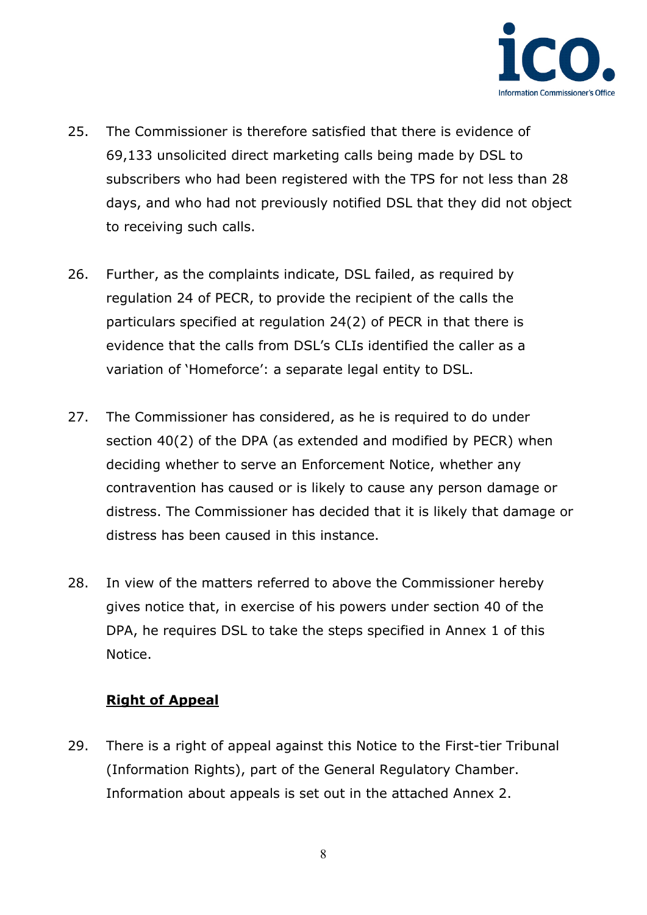

- 25. The Commissioner is therefore satisfied that there is evidence of 69,133 unsolicited direct marketing calls being made by DSL to subscribers who had been registered with the TPS for not less than 28 days, and who had not previously notified DSL that they did not object to receiving such calls.
- 26. Further, as the complaints indicate, DSL failed, as required by regulation 24 of PECR, to provide the recipient of the calls the particulars specified at regulation 24(2) of PECR in that there is evidence that the calls from DSL's CLIs identified the caller as a variation of 'Homeforce': a separate legal entity to DSL.
- 27. The Commissioner has considered, as he is required to do under section 40(2) of the DPA (as extended and modified by PECR) when deciding whether to serve an Enforcement Notice, whether any contravention has caused or is likely to cause any person damage or distress. The Commissioner has decided that it is likely that damage or distress has been caused in this instance.
- 28. In view of the matters referred to above the Commissioner hereby gives notice that, in exercise of his powers under section 40 of the DPA, he requires DSL to take the steps specified in Annex 1 of this Notice.

### **Right of Appeal**

29. There is a right of appeal against this Notice to the First-tier Tribunal (Information Rights), part of the General Regulatory Chamber. Information about appeals is set out in the attached Annex 2.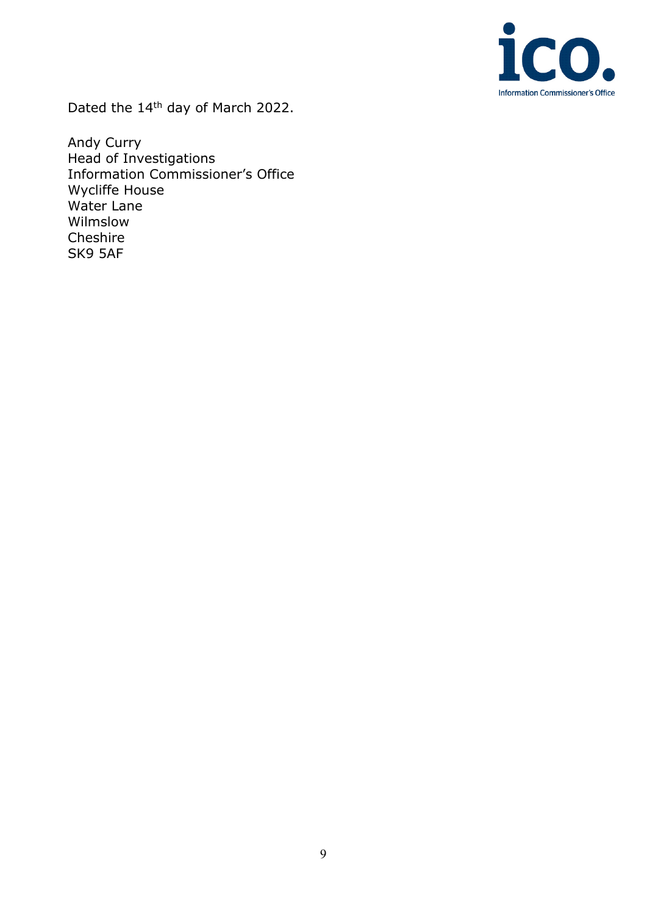

Dated the 14<sup>th</sup> day of March 2022.

Andy Curry Head of Investigations Information Commissioner's Office Wycliffe House Water Lane Wilmslow Cheshire SK9 5AF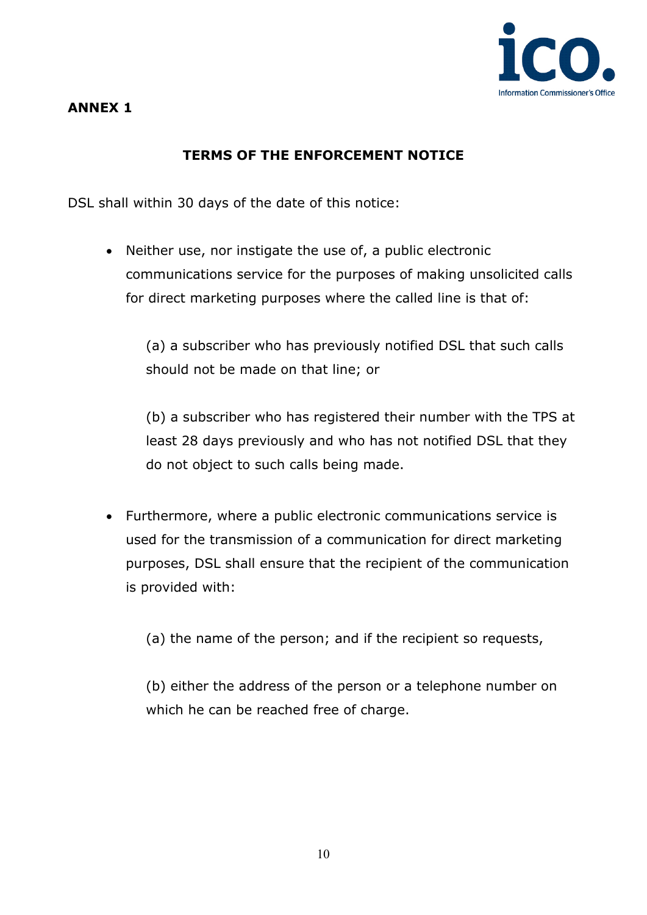

## **ANNEX 1**

# **TERMS OF THE ENFORCEMENT NOTICE**

DSL shall within 30 days of the date of this notice:

• Neither use, nor instigate the use of, a public electronic communications service for the purposes of making unsolicited calls for direct marketing purposes where the called line is that of:

(a) a subscriber who has previously notified DSL that such calls should not be made on that line; or

(b) a subscriber who has registered their number with the TPS at least 28 days previously and who has not notified DSL that they do not object to such calls being made.

• Furthermore, where a public electronic communications service is used for the transmission of a communication for direct marketing purposes, DSL shall ensure that the recipient of the communication is provided with:

(a) the name of the person; and if the recipient so requests,

(b) either the address of the person or a telephone number on which he can be reached free of charge.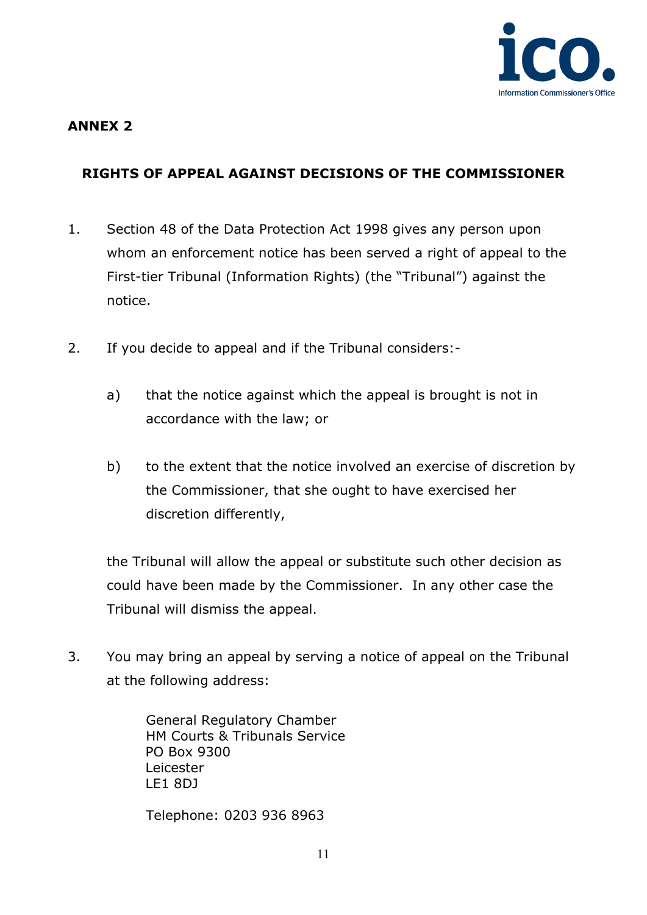

## **ANNEX 2**

# **RIGHTS OF APPEAL AGAINST DECISIONS OF THE COMMISSIONER**

- 1. Section 48 of the Data Protection Act 1998 gives any person upon whom an enforcement notice has been served a right of appeal to the First-tier Tribunal (Information Rights) (the "Tribunal") against the notice.
- 2. If you decide to appeal and if the Tribunal considers:
	- a) that the notice against which the appeal is brought is not in accordance with the law; or
	- b) to the extent that the notice involved an exercise of discretion by the Commissioner, that she ought to have exercised her discretion differently,

the Tribunal will allow the appeal or substitute such other decision as could have been made by the Commissioner. In any other case the Tribunal will dismiss the appeal.

3. You may bring an appeal by serving a notice of appeal on the Tribunal at the following address:

> General Regulatory Chamber HM Courts & Tribunals Service PO Box 9300 Leicester LE1 8DJ

Telephone: 0203 936 8963